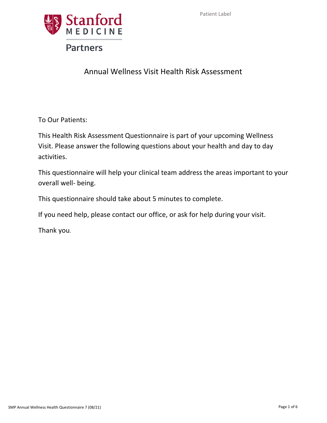

# Annual Wellness Visit Health Risk Assessment

To Our Patients:

This Health Risk Assessment Questionnaire is part of your upcoming Wellness Visit. Please answer the following questions about your health and day to day activities.

This questionnaire will help your clinical team address the areas important to your overall well‐ being.

This questionnaire should take about 5 minutes to complete.

If you need help, please contact our office, or ask for help during your visit.

Thank you.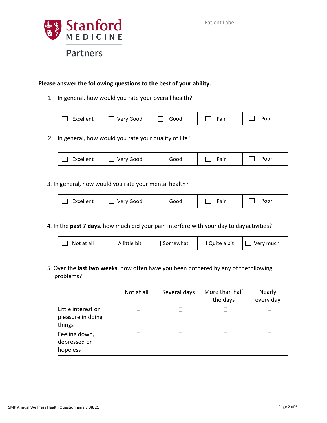

## **Please answer the following questions to the best of your ability.**

1. In general, how would you rate your overall health?

| Excellent | Very Good | Good | $e$ air | Poor |
|-----------|-----------|------|---------|------|
|-----------|-----------|------|---------|------|

2. In general, how would you rate your quality of life?

| Excellent | Very Good<br>Good | air | oorף |
|-----------|-------------------|-----|------|
|-----------|-------------------|-----|------|

### 3. In general, how would you rate your mental health?

| Excellent | Good<br>ver: | iood | $5$ air | oorף |
|-----------|--------------|------|---------|------|
|-----------|--------------|------|---------|------|

4. In the **past 7 days**, how much did your pain interfere with your day to day activities?

| $\Box$ Not at all | $\Box$ A little bit | $\Box$ Somewhat $\Box$ Quite a bit $\Box$ Very much |  |  |
|-------------------|---------------------|-----------------------------------------------------|--|--|
|-------------------|---------------------|-----------------------------------------------------|--|--|

5. Over the **last two weeks**, how often have you been bothered by any of thefollowing problems?

|                                                   | Not at all | Several days | More than half<br>the days | <b>Nearly</b><br>every day |
|---------------------------------------------------|------------|--------------|----------------------------|----------------------------|
| Little interest or<br>pleasure in doing<br>things |            |              |                            |                            |
| Feeling down,<br>depressed or<br>hopeless         |            |              |                            |                            |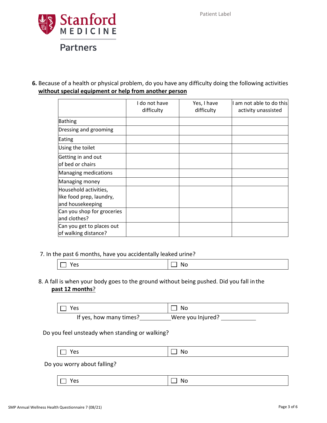

**6.** Because of a health or physical problem, do you have any difficulty doing the following activities **without special equipment or help from another person**

|                                                                       | I do not have<br>difficulty | Yes, I have<br>difficulty | I am not able to do this<br>activity unassisted |
|-----------------------------------------------------------------------|-----------------------------|---------------------------|-------------------------------------------------|
| <b>Bathing</b>                                                        |                             |                           |                                                 |
| Dressing and grooming                                                 |                             |                           |                                                 |
| Eating                                                                |                             |                           |                                                 |
| Using the toilet                                                      |                             |                           |                                                 |
| Getting in and out<br>of bed or chairs                                |                             |                           |                                                 |
| Managing medications                                                  |                             |                           |                                                 |
| Managing money                                                        |                             |                           |                                                 |
| Household activities,<br>like food prep, laundry,<br>and housekeeping |                             |                           |                                                 |
| Can you shop for groceries<br>and clothes?                            |                             |                           |                                                 |
| Can you get to places out<br>of walking distance?                     |                             |                           |                                                 |

### 7. In the past 6 months, have you accidentally leaked urine?

|--|

## 8. A fall is when your body goes to the ground without being pushed. Did you fall in the **past 12 months**?

| ⊤ Yes                   | l No              |
|-------------------------|-------------------|
| If yes, how many times? | Were you Injured? |

### Do you feel unsteady when standing or walking?

Do you worry about falling?

 $\Box$  Yes  $|\Box$  No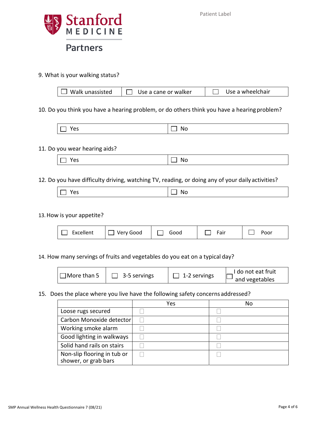

9. What is your walking status?

| $\Box$ Walk unassisted | Use a cane or walker | Use a wheelchair |
|------------------------|----------------------|------------------|
|------------------------|----------------------|------------------|

10. Do you think you have a hearing problem, or do others think you have a hearingproblem?

| . .<br>$-$<br>. | w<br>.<br>$\sim$ |
|-----------------|------------------|
|-----------------|------------------|

#### 11. Do you wear hearing aids?

| $\sim$<br>D.<br>w<br>ີ<br>$\overline{\phantom{a}}$ |  |
|----------------------------------------------------|--|
|----------------------------------------------------|--|

## 12. Do you have difficulty driving, watching TV, reading, or doing any of your daily activities?

| ີ |  |
|---|--|
|---|--|

### 13.How is your appetite?

| Excellent | Very Good | Good | Fair | Poor |
|-----------|-----------|------|------|------|
|-----------|-----------|------|------|------|

14. How many servings of fruits and vegetables do you eat on a typical day?

| 1More than 5 | 3-5 servings | 1-2 servings | I do not eat fruit<br>and vegetables |
|--------------|--------------|--------------|--------------------------------------|
|--------------|--------------|--------------|--------------------------------------|

### 15. Does the place where you live have the following safety concerns addressed?

|                                                     | Yes | No |
|-----------------------------------------------------|-----|----|
| Loose rugs secured                                  |     |    |
| Carbon Monoxide detector                            |     |    |
| Working smoke alarm                                 |     |    |
| Good lighting in walkways                           |     |    |
| Solid hand rails on stairs                          |     |    |
| Non-slip flooring in tub or<br>shower, or grab bars |     |    |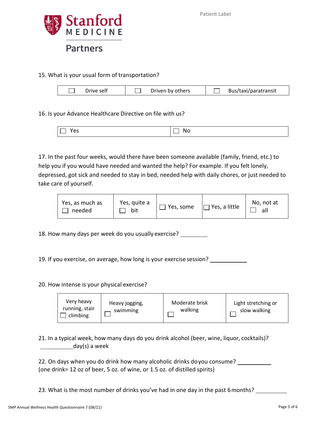

## 15. What is your usual form of transportation?

| Drive self | Driven by others | Bus/taxi/paratransit |
|------------|------------------|----------------------|
|            |                  |                      |

16. Is your Advance Healthcare Directive on file with us?

| N<br>∼ |
|--------|
|--------|

17. In the past four weeks, would there have been someone available (family, friend, etc.) to help you if you would have needed and wanted the help? For example. If you felt lonely, depressed, got sick and needed to stay in bed, needed help with daily chores, or just needed to take care of yourself.

| Yes, as much as<br>needed | Yes, quite a<br>bit | $\Box$ Yes, some | $\Box$ Yes, a little | No, not at<br>all |
|---------------------------|---------------------|------------------|----------------------|-------------------|
|---------------------------|---------------------|------------------|----------------------|-------------------|

18. How many days per week do you usually exercise?

19. If you exercise, on average, how long is your exercise session?

## 20. How intense is your physical exercise?



21. In a typical week, how many days do you drink alcohol (beer, wine, liquor, cocktails)? day(s) a week

| 22. On days when you do drink how many alcoholic drinks doyou consume?     |  |
|----------------------------------------------------------------------------|--|
| (one drink= 12 oz of beer, 5 oz. of wine, or 1.5 oz. of distilled spirits) |  |

23. What is the most number of drinks you've had in one day in the past 6 months?